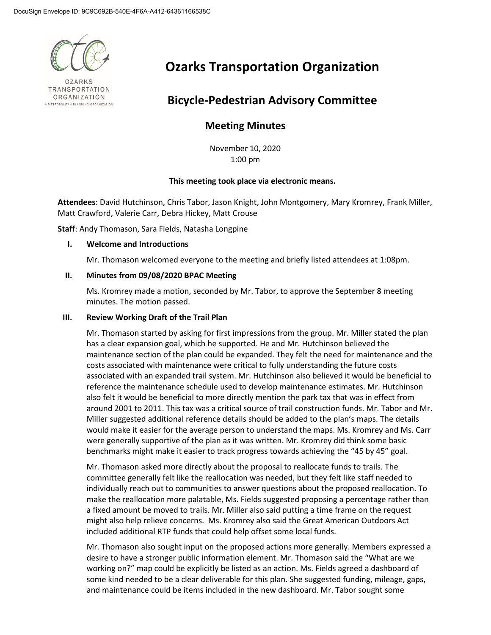

**OZARKS** TRANSPORTATION ORGANIZATION A METROPOLITAN PLANNING ORGANIZATION

# **Ozarks Transportation Organization**

## **Bicycle-Pedestrian Advisory Committee**

### **Meeting Minutes**

November 10, 2020 1:00 pm

#### **This meeting took place via electronic means.**

**Attendees**: David Hutchinson, Chris Tabor, Jason Knight, John Montgomery, Mary Kromrey, Frank Miller, Matt Crawford, Valerie Carr, Debra Hickey, Matt Crouse

**Staff**: Andy Thomason, Sara Fields, Natasha Longpine

#### **I. Welcome and Introductions**

Mr. Thomason welcomed everyone to the meeting and briefly listed attendees at 1:08pm.

#### **II. Minutes from 09/08/2020 BPAC Meeting**

Ms. Kromrey made a motion, seconded by Mr. Tabor, to approve the September 8 meeting minutes. The motion passed.

#### **III. Review Working Draft of the Trail Plan**

Mr. Thomason started by asking for first impressions from the group. Mr. Miller stated the plan has a clear expansion goal, which he supported. He and Mr. Hutchinson believed the maintenance section of the plan could be expanded. They felt the need for maintenance and the costs associated with maintenance were critical to fully understanding the future costs associated with an expanded trail system. Mr. Hutchinson also believed it would be beneficial to reference the maintenance schedule used to develop maintenance estimates. Mr. Hutchinson also felt it would be beneficial to more directly mention the park tax that was in effect from around 2001 to 2011. This tax was a critical source of trail construction funds. Mr. Tabor and Mr. Miller suggested additional reference details should be added to the plan's maps. The details would make it easier for the average person to understand the maps. Ms. Kromrey and Ms. Carr were generally supportive of the plan as it was written. Mr. Kromrey did think some basic benchmarks might make it easier to track progress towards achieving the "45 by 45" goal.

Mr. Thomason asked more directly about the proposal to reallocate funds to trails. The committee generally felt like the reallocation was needed, but they felt like staff needed to individually reach out to communities to answer questions about the proposed reallocation. To make the reallocation more palatable, Ms. Fields suggested proposing a percentage rather than a fixed amount be moved to trails. Mr. Miller also said putting a time frame on the request might also help relieve concerns. Ms. Kromrey also said the Great American Outdoors Act included additional RTP funds that could help offset some local funds.

Mr. Thomason also sought input on the proposed actions more generally. Members expressed a desire to have a stronger public information element. Mr. Thomason said the "What are we working on?" map could be explicitly be listed as an action. Ms. Fields agreed a dashboard of some kind needed to be a clear deliverable for this plan. She suggested funding, mileage, gaps, and maintenance could be items included in the new dashboard. Mr. Tabor sought some